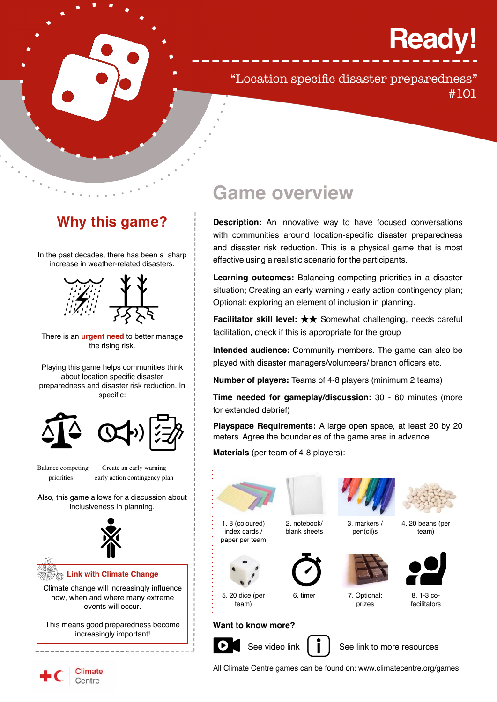# **Ready!**

## "Location specific disaster preparedness" #101

# **Why this game?**

In the past decades, there has been a sharp increase in weather-related disasters.



There is an **urgent need** to better manage the rising risk.

Playing this game helps communities think about location specific disaster preparedness and disaster risk reduction. In specific:





Balance competing Create an early warning priorities early action contingency plan

Also, this game allows for a discussion about inclusiveness in planning.



how, when and where many extreme events will occur.

This means good preparedness become increasingly important!

## **Game overview**

**Description:** An innovative way to have focused conversations with communities around location-specific disaster preparedness and disaster risk reduction. This is a physical game that is most effective using a realistic scenario for the participants.

**Learning outcomes:** Balancing competing priorities in a disaster situation; Creating an early warning / early action contingency plan; Optional: exploring an element of inclusion in planning.

**Facilitator skill level:** ★★ Somewhat challenging, needs careful facilitation, check if this is appropriate for the group

**Intended audience:** Community members. The game can also be played with disaster managers/volunteers/ branch officers etc.

**Number of players:** Teams of 4-8 players (minimum 2 teams)

**Time needed for gameplay/discussion:** 30 - 60 minutes (more for extended debrief)

**Playspace Requirements:** A large open space, at least 20 by 20 meters. Agree the boundaries of the game area in advance.

**Materials** (per team of 4-8 players):





All Climate Centre games can be found on: www.climatecentre.org/games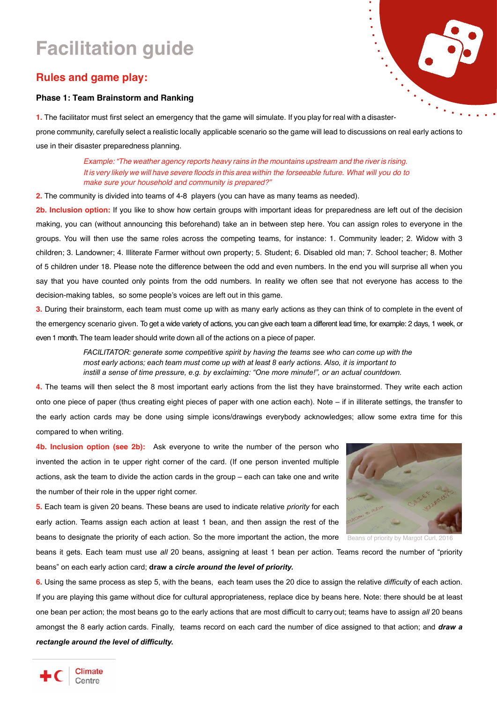# **Facilitation guide**

### **Rules and game play:**

#### **Phase 1: Team Brainstorm and Ranking**

í,

**1.** The facilitator must first select an emergency that the game will simulate. If you play for real with a disasterprone community, carefully select a realistic locally applicable scenario so the game will lead to discussions on real early actions to use in their disaster preparedness planning.

> *Example: "The weather agency reports heavy rains in the mountains upstream and the river is rising. It is very likely we will have severe floods in this area within the forseeable future. What will you do to make sure your household and community is prepared?"*

**2.** The community is divided into teams of 4-8 players (you can have as many teams as needed).

**2b. Inclusion option:** If you like to show how certain groups with important ideas for preparedness are left out of the decision making, you can (without announcing this beforehand) take an in between step here. You can assign roles to everyone in the groups. You will then use the same roles across the competing teams, for instance: 1. Community leader; 2. Widow with 3 children; 3. Landowner; 4. Illiterate Farmer without own property; 5. Student; 6. Disabled old man; 7. School teacher; 8. Mother of 5 children under 18. Please note the difference between the odd and even numbers. In the end you will surprise all when you say that you have counted only points from the odd numbers. In reality we often see that not everyone has access to the decision-making tables, so some people's voices are left out in this game.

**3.** During their brainstorm, each team must come up with as many early actions as they can think of to complete in the event of the emergency scenario given. To get a wide variety of actions, you can give each team a different lead time, for example: 2 days, 1 week, or even 1 month. The team leader should write down all of the actions on a piece of paper.

> *FACILITATOR: generate some competitive spirit by having the teams see who can come up with the most early actions; each team must come up with at least 8 early actions. Also, it is important to instill a sense of time pressure, e.g. by exclaiming: "One more minute!", or an actual countdown.*

**4.** The teams will then select the 8 most important early actions from the list they have brainstormed. They write each action onto one piece of paper (thus creating eight pieces of paper with one action each). Note – if in illiterate settings, the transfer to the early action cards may be done using simple icons/drawings everybody acknowledges; allow some extra time for this compared to when writing.

**4b. Inclusion option (see 2b):** Ask everyone to write the number of the person who invented the action in te upper right corner of the card. (If one person invented multiple actions, ask the team to divide the action cards in the group – each can take one and write the number of their role in the upper right corner.



**5.** Each team is given 20 beans. These beans are used to indicate relative *priority* for each early action. Teams assign each action at least 1 bean, and then assign the rest of the beans to designate the priority of each action. So the more important the action, the more

beans it gets. Each team must use *all* 20 beans, assigning at least 1 bean per action. Teams record the number of "priority beans" on each early action card; **draw a** *circle around the level of priority.*

**6.** Using the same process as step 5, with the beans, each team uses the 20 dice to assign the relative *difficulty* of each action. If you are playing this game without dice for cultural appropriateness, replace dice by beans here. Note: there should be at least one bean per action; the most beans go to the early actions that are most difficult to carry out; teams have to assign *all* 20 beans amongst the 8 early action cards. Finally, teams record on each card the number of dice assigned to that action; and *draw a rectangle around the level of difficulty.*

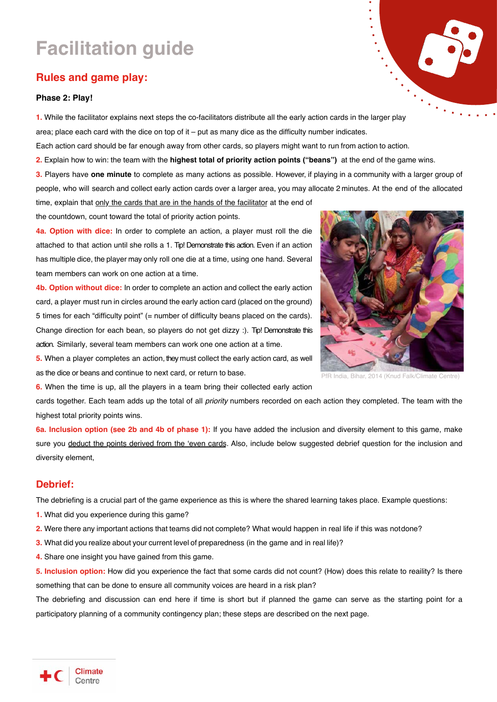# **Facilitation guide**

### **Rules and game play:**

#### **Phase 2: Play!**

**1.** While the facilitator explains next steps the co-facilitators distribute all the early action cards in the larger play area; place each card with the dice on top of it – put as many dice as the difficulty number indicates.

Each action card should be far enough away from other cards, so players might want to run from action to action.

**2.** Explain how to win: the team with the **highest total of priority action points ("beans")** at the end of the game wins.

**3.** Players have **one minute** to complete as many actions as possible. However, if playing in a community with a larger group of people, who will search and collect early action cards over a larger area, you may allocate 2 minutes. At the end of the allocated time, explain that only the cards that are in the hands of the facilitator at the end of

the countdown, count toward the total of priority action points.

**4a. Option with dice:** In order to complete an action, a player must roll the die attached to that action until she rolls a 1. Tip! Demonstrate this action. Even if an action has multiple dice, the player may only roll one die at a time, using one hand. Several team members can work on one action at a time.

**4b. Option without dice:** In order to complete an action and collect the early action card, a player must run in circles around the early action card (placed on the ground) 5 times for each "difficulty point" (= number of difficulty beans placed on the cards). Change direction for each bean, so players do not get dizzy :). Tip! Demonstrate this action. Similarly, several team members can work one one action at a time.



i.

PfR India, Bihar, 2014 (Knud Falk/Climate Centre)

**5.** When a player completes an action, they must collect the early action card, as well as the dice or beans and continue to next card, or return to base.

**6.** When the time is up, all the players in a team bring their collected early action

cards together. Each team adds up the total of all *priority* numbers recorded on each action they completed. The team with the highest total priority points wins.

**6a. Inclusion option (see 2b and 4b of phase 1):** If you have added the inclusion and diversity element to this game, make sure you deduct the points derived from the 'even cards. Also, include below suggested debrief question for the inclusion and diversity element,

#### **Debrief:**

The debriefing is a crucial part of the game experience as this is where the shared learning takes place. Example questions:

- **1.** What did you experience during this game?
- **2.** Were there any important actions that teams did not complete? What would happen in real life if this was notdone?
- **3.** What did you realize about your current level of preparedness (in the game and in real life)?
- **4.** Share one insight you have gained from this game.

**5. Inclusion option:** How did you experience the fact that some cards did not count? (How) does this relate to reaility? Is there something that can be done to ensure all community voices are heard in a risk plan?

The debriefing and discussion can end here if time is short but if planned the game can serve as the starting point for a participatory planning of a community contingency plan; these steps are described on the next page.